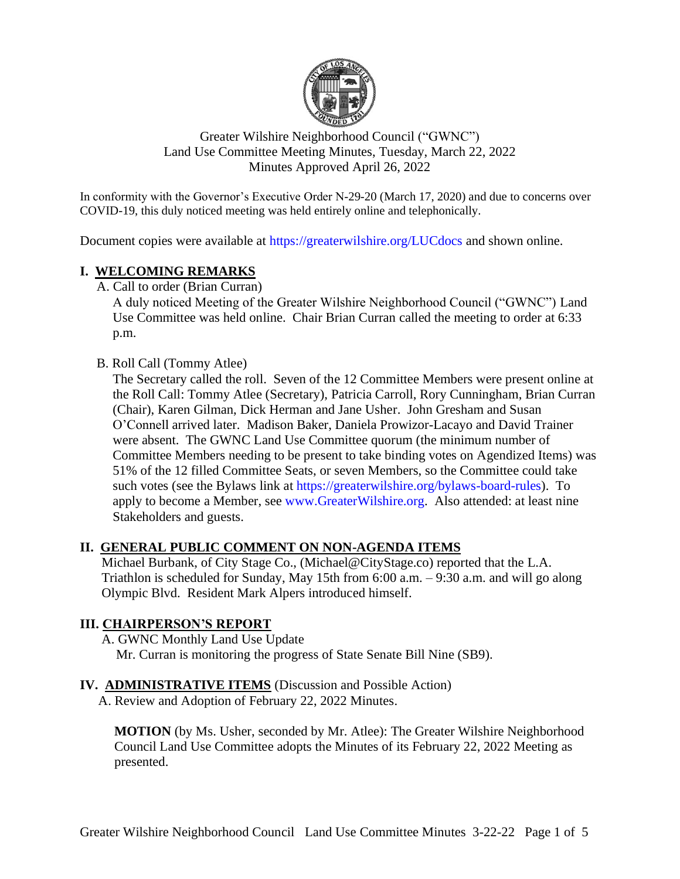

## Greater Wilshire Neighborhood Council ("GWNC") Land Use Committee Meeting Minutes, Tuesday, March 22, 2022 Minutes Approved April 26, 2022

In conformity with the Governor's Executive Order N-29-20 (March 17, 2020) and due to concerns over COVID-19, this duly noticed meeting was held entirely online and telephonically.

Document copies were available at <https://greaterwilshire.org/LUCdocs> and shown online.

# **I. WELCOMING REMARKS**

A. Call to order (Brian Curran)

A duly noticed Meeting of the Greater Wilshire Neighborhood Council ("GWNC") Land Use Committee was held online. Chair Brian Curran called the meeting to order at 6:33 p.m.

## B. Roll Call (Tommy Atlee)

The Secretary called the roll. Seven of the 12 Committee Members were present online at the Roll Call: Tommy Atlee (Secretary), Patricia Carroll, Rory Cunningham, Brian Curran (Chair), Karen Gilman, Dick Herman and Jane Usher. John Gresham and Susan O'Connell arrived later. Madison Baker, Daniela Prowizor-Lacayo and David Trainer were absent. The GWNC Land Use Committee quorum (the minimum number of Committee Members needing to be present to take binding votes on Agendized Items) was 51% of the 12 filled Committee Seats, or seven Members, so the Committee could take such votes (see the Bylaws link at [https://greaterwilshire.org/bylaws-board-rules\)](https://greaterwilshire.org/bylaws-board-rules). To apply to become a Member, see [www.GreaterWilshire.org.](http://www.greaterwilshire.org/) Also attended: at least nine Stakeholders and guests.

## **II. GENERAL PUBLIC COMMENT ON NON-AGENDA ITEMS**

Michael Burbank, of City Stage Co., (Michael@CityStage.co) reported that the L.A. Triathlon is scheduled for Sunday, May 15th from 6:00 a.m. – 9:30 a.m. and will go along Olympic Blvd. Resident Mark Alpers introduced himself.

## **III. CHAIRPERSON'S REPORT**

A. GWNC Monthly Land Use Update

Mr. Curran is monitoring the progress of State Senate Bill Nine (SB9).

## **IV. ADMINISTRATIVE ITEMS** (Discussion and Possible Action)

A. Review and Adoption of February 22, 2022 Minutes.

**MOTION** (by Ms. Usher, seconded by Mr. Atlee): The Greater Wilshire Neighborhood Council Land Use Committee adopts the Minutes of its February 22, 2022 Meeting as presented.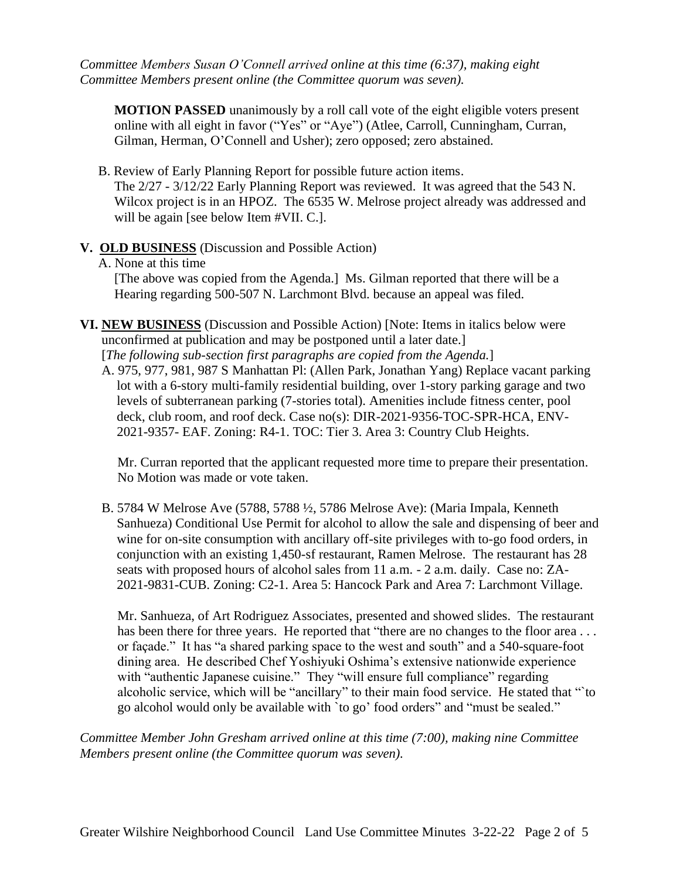*Committee Members Susan O'Connell arrived online at this time (6:37), making eight Committee Members present online (the Committee quorum was seven).*

**MOTION PASSED** unanimously by a roll call vote of the eight eligible voters present online with all eight in favor ("Yes" or "Aye") (Atlee, Carroll, Cunningham, Curran, Gilman, Herman, O'Connell and Usher); zero opposed; zero abstained.

B. Review of Early Planning Report for possible future action items. The 2/27 - 3/12/22 Early Planning Report was reviewed. It was agreed that the 543 N. Wilcox project is in an HPOZ. The 6535 W. Melrose project already was addressed and will be again [see below Item #VII. C.].

#### **V. OLD BUSINESS** (Discussion and Possible Action)

A. None at this time

[The above was copied from the Agenda.] Ms. Gilman reported that there will be a Hearing regarding 500-507 N. Larchmont Blvd. because an appeal was filed.

**VI. NEW BUSINESS** (Discussion and Possible Action) [Note: Items in italics below were unconfirmed at publication and may be postponed until a later date.]

[*The following sub-section first paragraphs are copied from the Agenda.*]

A. 975, 977, 981, 987 S Manhattan Pl: (Allen Park, Jonathan Yang) Replace vacant parking lot with a 6-story multi-family residential building, over 1-story parking garage and two levels of subterranean parking (7-stories total). Amenities include fitness center, pool deck, club room, and roof deck. Case no(s): DIR-2021-9356-TOC-SPR-HCA, ENV-2021-9357- EAF. Zoning: R4-1. TOC: Tier 3. Area 3: Country Club Heights.

Mr. Curran reported that the applicant requested more time to prepare their presentation. No Motion was made or vote taken.

B. 5784 W Melrose Ave (5788, 5788 ½, 5786 Melrose Ave): (Maria Impala, Kenneth Sanhueza) Conditional Use Permit for alcohol to allow the sale and dispensing of beer and wine for on-site consumption with ancillary off-site privileges with to-go food orders, in conjunction with an existing 1,450-sf restaurant, Ramen Melrose. The restaurant has 28 seats with proposed hours of alcohol sales from 11 a.m. - 2 a.m. daily. Case no: ZA-2021-9831-CUB. Zoning: C2-1. Area 5: Hancock Park and Area 7: Larchmont Village.

Mr. Sanhueza, of Art Rodriguez Associates, presented and showed slides. The restaurant has been there for three years. He reported that "there are no changes to the floor area... or façade." It has "a shared parking space to the west and south" and a 540-square-foot dining area. He described Chef Yoshiyuki Oshima's extensive nationwide experience with "authentic Japanese cuisine." They "will ensure full compliance" regarding alcoholic service, which will be "ancillary" to their main food service. He stated that "`to go alcohol would only be available with `to go' food orders" and "must be sealed."

*Committee Member John Gresham arrived online at this time (7:00), making nine Committee Members present online (the Committee quorum was seven).*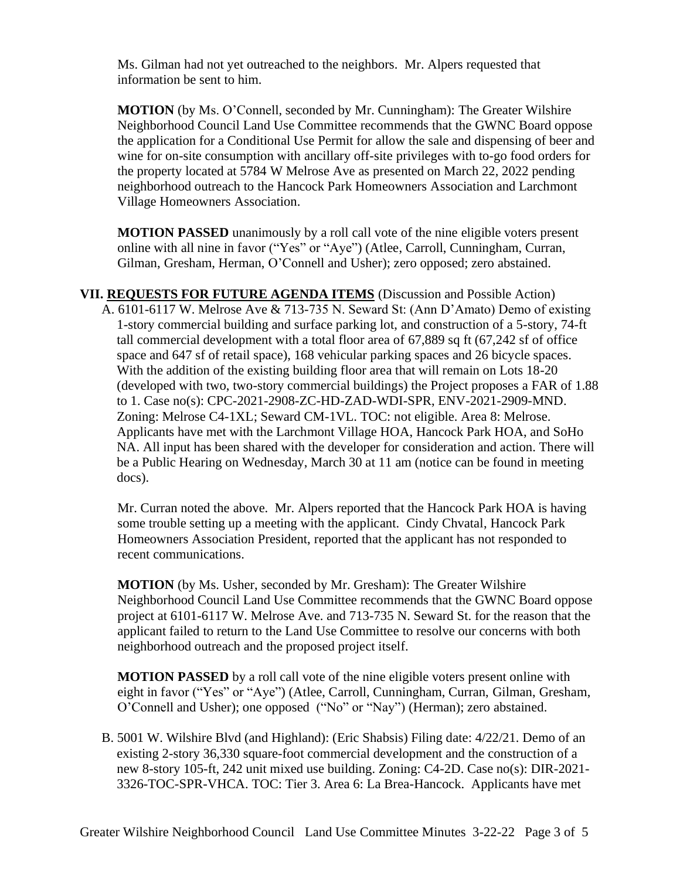Ms. Gilman had not yet outreached to the neighbors. Mr. Alpers requested that information be sent to him.

**MOTION** (by Ms. O'Connell, seconded by Mr. Cunningham): The Greater Wilshire Neighborhood Council Land Use Committee recommends that the GWNC Board oppose the application for a Conditional Use Permit for allow the sale and dispensing of beer and wine for on-site consumption with ancillary off-site privileges with to-go food orders for the property located at 5784 W Melrose Ave as presented on March 22, 2022 pending neighborhood outreach to the Hancock Park Homeowners Association and Larchmont Village Homeowners Association.

**MOTION PASSED** unanimously by a roll call vote of the nine eligible voters present online with all nine in favor ("Yes" or "Aye") (Atlee, Carroll, Cunningham, Curran, Gilman, Gresham, Herman, O'Connell and Usher); zero opposed; zero abstained.

**VII. REQUESTS FOR FUTURE AGENDA ITEMS** (Discussion and Possible Action) A. 6101-6117 W. Melrose Ave & 713-735 N. Seward St: (Ann D'Amato) Demo of existing 1-story commercial building and surface parking lot, and construction of a 5-story, 74-ft tall commercial development with a total floor area of 67,889 sq ft (67,242 sf of office space and 647 sf of retail space), 168 vehicular parking spaces and 26 bicycle spaces. With the addition of the existing building floor area that will remain on Lots 18-20 (developed with two, two-story commercial buildings) the Project proposes a FAR of 1.88 to 1. Case no(s): CPC-2021-2908-ZC-HD-ZAD-WDI-SPR, ENV-2021-2909-MND. Zoning: Melrose C4-1XL; Seward CM-1VL. TOC: not eligible. Area 8: Melrose. Applicants have met with the Larchmont Village HOA, Hancock Park HOA, and SoHo NA. All input has been shared with the developer for consideration and action. There will be a Public Hearing on Wednesday, March 30 at 11 am (notice can be found in meeting docs).

Mr. Curran noted the above. Mr. Alpers reported that the Hancock Park HOA is having some trouble setting up a meeting with the applicant. Cindy Chvatal, Hancock Park Homeowners Association President, reported that the applicant has not responded to recent communications.

**MOTION** (by Ms. Usher, seconded by Mr. Gresham): The Greater Wilshire Neighborhood Council Land Use Committee recommends that the GWNC Board oppose project at 6101-6117 W. Melrose Ave. and 713-735 N. Seward St. for the reason that the applicant failed to return to the Land Use Committee to resolve our concerns with both neighborhood outreach and the proposed project itself.

**MOTION PASSED** by a roll call vote of the nine eligible voters present online with eight in favor ("Yes" or "Aye") (Atlee, Carroll, Cunningham, Curran, Gilman, Gresham, O'Connell and Usher); one opposed ("No" or "Nay") (Herman); zero abstained.

B. 5001 W. Wilshire Blvd (and Highland): (Eric Shabsis) Filing date: 4/22/21. Demo of an existing 2-story 36,330 square-foot commercial development and the construction of a new 8-story 105-ft, 242 unit mixed use building. Zoning: C4-2D. Case no(s): DIR-2021- 3326-TOC-SPR-VHCA. TOC: Tier 3. Area 6: La Brea-Hancock. Applicants have met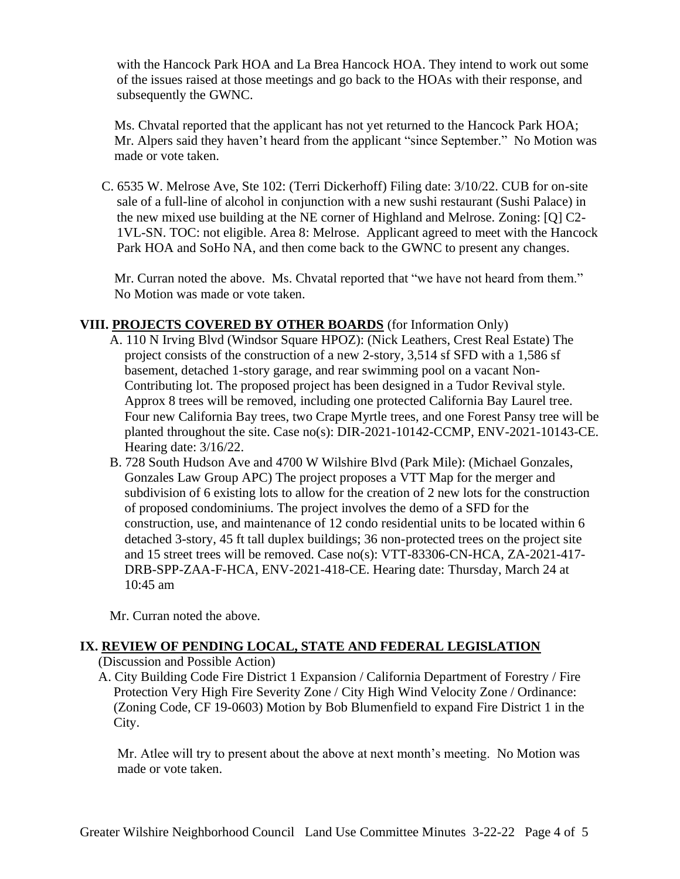with the Hancock Park HOA and La Brea Hancock HOA. They intend to work out some of the issues raised at those meetings and go back to the HOAs with their response, and subsequently the GWNC.

Ms. Chvatal reported that the applicant has not yet returned to the Hancock Park HOA; Mr. Alpers said they haven't heard from the applicant "since September." No Motion was made or vote taken.

C. 6535 W. Melrose Ave, Ste 102: (Terri Dickerhoff) Filing date: 3/10/22. CUB for on-site sale of a full-line of alcohol in conjunction with a new sushi restaurant (Sushi Palace) in the new mixed use building at the NE corner of Highland and Melrose. Zoning: [Q] C2- 1VL-SN. TOC: not eligible. Area 8: Melrose. Applicant agreed to meet with the Hancock Park HOA and SoHo NA, and then come back to the GWNC to present any changes.

Mr. Curran noted the above. Ms. Chvatal reported that "we have not heard from them." No Motion was made or vote taken.

# **VIII. PROJECTS COVERED BY OTHER BOARDS** (for Information Only)

- A. 110 N Irving Blvd (Windsor Square HPOZ): (Nick Leathers, Crest Real Estate) The project consists of the construction of a new 2-story, 3,514 sf SFD with a 1,586 sf basement, detached 1-story garage, and rear swimming pool on a vacant Non-Contributing lot. The proposed project has been designed in a Tudor Revival style. Approx 8 trees will be removed, including one protected California Bay Laurel tree. Four new California Bay trees, two Crape Myrtle trees, and one Forest Pansy tree will be planted throughout the site. Case no(s): DIR-2021-10142-CCMP, ENV-2021-10143-CE. Hearing date: 3/16/22.
- B. 728 South Hudson Ave and 4700 W Wilshire Blvd (Park Mile): (Michael Gonzales, Gonzales Law Group APC) The project proposes a VTT Map for the merger and subdivision of 6 existing lots to allow for the creation of 2 new lots for the construction of proposed condominiums. The project involves the demo of a SFD for the construction, use, and maintenance of 12 condo residential units to be located within 6 detached 3-story, 45 ft tall duplex buildings; 36 non-protected trees on the project site and 15 street trees will be removed. Case no(s): VTT-83306-CN-HCA, ZA-2021-417- DRB-SPP-ZAA-F-HCA, ENV-2021-418-CE. Hearing date: Thursday, March 24 at 10:45 am

Mr. Curran noted the above.

## **IX. REVIEW OF PENDING LOCAL, STATE AND FEDERAL LEGISLATION**

(Discussion and Possible Action)

A. City Building Code Fire District 1 Expansion / California Department of Forestry / Fire Protection Very High Fire Severity Zone / City High Wind Velocity Zone / Ordinance: (Zoning Code, CF 19-0603) Motion by Bob Blumenfield to expand Fire District 1 in the City.

Mr. Atlee will try to present about the above at next month's meeting. No Motion was made or vote taken.